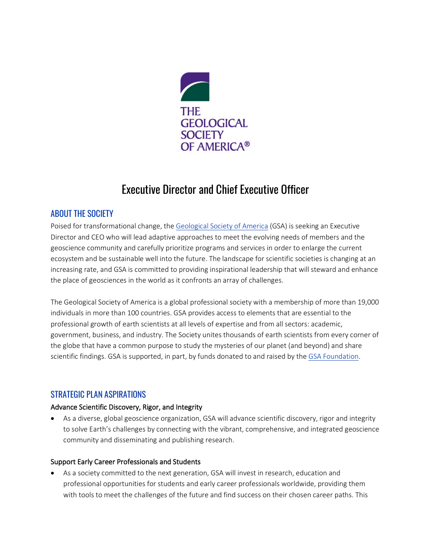

# Executive Director and Chief Executive Officer

# ABOUT THE SOCIETY

Poised for transformational change, the [Geological Society of America](https://www.geosociety.org/) (GSA) is seeking an Executive Director and CEO who will lead adaptive approaches to meet the evolving needs of members and the geoscience community and carefully prioritize programs and services in order to enlarge the current ecosystem and be sustainable well into the future. The landscape for scientific societies is changing at an increasing rate, and GSA is committed to providing inspirational leadership that will steward and enhance the place of geosciences in the world as it confronts an array of challenges.

The Geological Society of America is a global professional society with a membership of more than 19,000 individuals in more than 100 countries. GSA provides access to elements that are essential to the professional growth of earth scientists at all levels of expertise and from all sectors: academic, government, business, and industry. The Society unites thousands of earth scientists from every corner of the globe that have a common purpose to study the mysteries of our planet (and beyond) and share scientific findings. GSA is supported, in part, by funds donated to and raised by the [GSA Foundation.](https://www.gsafweb.org/)

# STRATEGIC PLAN ASPIRATIONS

#### Advance Scientific Discovery, Rigor, and Integrity

• As a diverse, global geoscience organization, GSA will advance scientific discovery, rigor and integrity to solve Earth's challenges by connecting with the vibrant, comprehensive, and integrated geoscience community and disseminating and publishing research.

#### Support Early Career Professionals and Students

• As a society committed to the next generation, GSA will invest in research, education and professional opportunities for students and early career professionals worldwide, providing them with tools to meet the challenges of the future and find success on their chosen career paths. This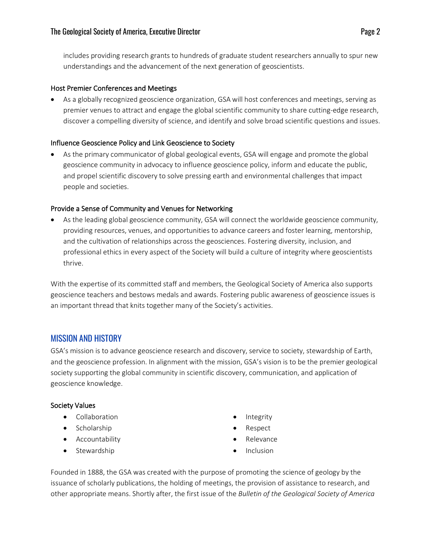includes providing research grants to hundreds of graduate student researchers annually to spur new understandings and the advancement of the next generation of geoscientists.

#### Host Premier Conferences and Meetings

• As a globally recognized geoscience organization, GSA will host conferences and meetings, serving as premier venues to attract and engage the global scientific community to share cutting-edge research, discover a compelling diversity of science, and identify and solve broad scientific questions and issues.

#### Influence Geoscience Policy and Link Geoscience to Society

• As the primary communicator of global geological events, GSA will engage and promote the global geoscience community in advocacy to influence geoscience policy, inform and educate the public, and propel scientific discovery to solve pressing earth and environmental challenges that impact people and societies.

#### Provide a Sense of Community and Venues for Networking

• As the leading global geoscience community, GSA will connect the worldwide geoscience community, providing resources, venues, and opportunities to advance careers and foster learning, mentorship, and the cultivation of relationships across the geosciences. Fostering diversity, inclusion, and professional ethics in every aspect of the Society will build a culture of integrity where geoscientists thrive.

With the expertise of its committed staff and members, the Geological Society of America also supports geoscience teachers and bestows medals and awards. Fostering public awareness of geoscience issues is an important thread that knits together many of the Society's activities.

# MISSION AND HISTORY

GSA's mission is to advance geoscience research and discovery, service to society, stewardship of Earth, and the geoscience profession. In alignment with the mission, GSA's vision is to be the premier geological society supporting the global community in scientific discovery, communication, and application of geoscience knowledge.

#### Society Values

- Collaboration
- Scholarship
- Accountability
- Stewardship
- **Integrity**
- Respect
- Relevance
- Inclusion

Founded in 1888, the GSA was created with the purpose of promoting the science of geology by the issuance of scholarly publications, the holding of meetings, the provision of assistance to research, and other appropriate means. Shortly after, the first issue of the *Bulletin of the Geological Society of America*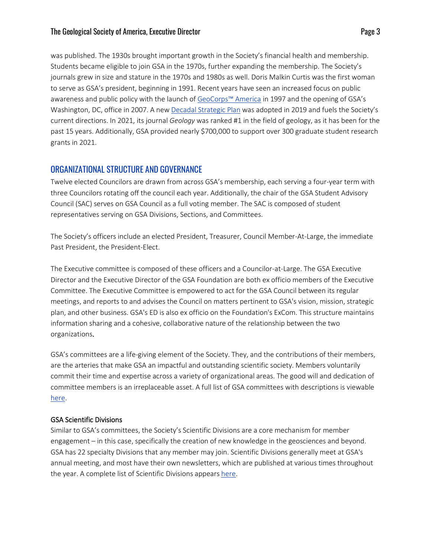#### The Geological Society of America, Executive Director **Page 3** American page 3

was published. The 1930s brought important growth in the Society's financial health and membership. Students became eligible to join GSA in the 1970s, further expanding the membership. The Society's journals grew in size and stature in the 1970s and 1980s as well. Doris Malkin Curtis was the first woman to serve as GSA's president, beginning in 1991. Recent years have seen an increased focus on public awareness and public policy with the launch o[f GeoCorps™ America](https://www.geosociety.org/documents/gsa/geocorps/GeoCorps-AR_16-web.pdf) in 1997 and the opening of GSA's Washington, DC, office in 2007. A new [Decadal Strategic Plan](https://www.geosociety.org/documents/gsa/about/2019-strategic-plan.pdf) was adopted in 2019 and fuels the Society's current directions. In 2021, its journal *Geology* was ranked #1 in the field of geology, as it has been for the past 15 years. Additionally, GSA provided nearly \$700,000 to support over 300 graduate student research grants in 2021.

# ORGANIZATIONAL STRUCTURE AND GOVERNANCE

Twelve elected Councilors are drawn from across GSA's membership, each serving a four-year term with three Councilors rotating off the council each year. Additionally, the chair of the GSA Student Advisory Council (SAC) serves on GSA Council as a full voting member. The SAC is composed of student representatives serving on GSA Divisions, Sections, and Committees.

The Society's officers include an elected President, Treasurer, Council Member-At-Large, the immediate Past President, the President-Elect.

The Executive committee is composed of these officers and a Councilor-at-Large. The GSA Executive Director and the Executive Director of the GSA Foundation are both ex officio members of the Executive Committee. The Executive Committee is empowered to act for the GSA Council between its regular meetings, and reports to and advises the Council on matters pertinent to GSA's vision, mission, strategic plan, and other business. GSA's ED is also ex officio on the Foundation's ExCom. This structure maintains information sharing and a cohesive, collaborative nature of the relationship between the two organizations.

GSA's committees are a life-giving element of the Society. They, and the contributions of their members, are the arteries that make GSA an impactful and outstanding scientific society. Members voluntarily commit their time and expertise across a variety of organizational areas. The good will and dedication of committee members is an irreplaceable asset. A full list of GSA committees with descriptions is viewable [here.](https://www.geosociety.org/GSA/about/Leadership/Committees/GSA/About/Committees.aspx?hkey=e2a85a14-2522-40ca-ac85-ef12f8fceec3)

#### GSA Scientific Divisions

Similar to GSA's committees, the Society's Scientific Divisions are a core mechanism for member engagement – in this case, specifically the creation of new knowledge in the geosciences and beyond. GSA has 22 specialty Divisions that any member may join. Scientific Divisions generally meet at GSA's annual meeting, and most have their own newsletters, which are published at various times throughout the year. A complete list of Scientific Divisions appear[s here.](https://www.geosociety.org/GSA/about/divisions/GSA/Division/home.aspx?hkey=b8ea4194-f991-4f17-9fe3-6dcec24df81e)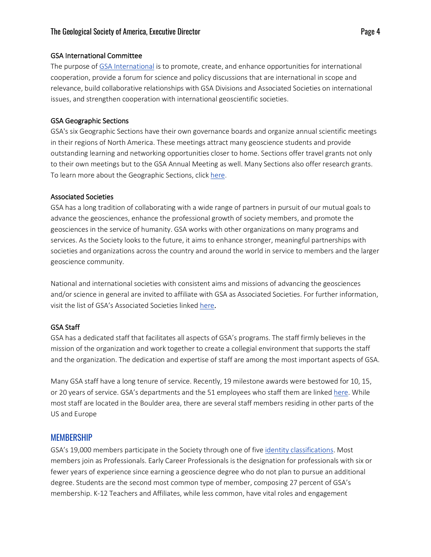#### GSA International Committee

The purpose of [GSA International](https://www.geosociety.org/GSA/about/GSA_International/GSA/International/Home.aspx?hkey=1eac5e40-687d-411a-bc7c-0e6e03fca1d7) is to promote, create, and enhance opportunities for international cooperation, provide a forum for science and policy discussions that are international in scope and relevance, build collaborative relationships with GSA Divisions and Associated Societies on international issues, and strengthen cooperation with international geoscientific societies.

#### GSA Geographic Sections

GSA's six Geographic Sections have their own governance boards and organize annual scientific meetings in their regions of North America. These meetings attract many geoscience students and provide outstanding learning and networking opportunities closer to home. Sections offer travel grants not only to their own meetings but to the GSA Annual Meeting as well. Many Sections also offer research grants. To learn more about the Geographic Sections, click [here.](https://www.geosociety.org/GSA/about/Sections/GSA/Sections/Home.aspx?hkey=c9ffe4d9-6011-404a-9dfb-f72fd80c9c12)

#### Associated Societies

GSA has a long tradition of collaborating with a wide range of partners in pursuit of our mutual goals to advance the geosciences, enhance the professional growth of society members, and promote the geosciences in the service of humanity. GSA works with other organizations on many programs and services. As the Society looks to the future, it aims to enhance stronger, meaningful partnerships with societies and organizations across the country and around the world in service to members and the larger geoscience community.

National and international societies with consistent aims and missions of advancing the geosciences and/or science in general are invited to affiliate with GSA as Associated Societies. For further information, visit the list of GSA's Associated Societies linked [here.](https://www.geosociety.org/GSA/about/Who_We_Are/Associated_Societies/GSA/About/Associated_Societies.aspx?hkey=1680a4d1-4f08-499b-8a82-434cc8ae2b6f)

#### GSA Staff

GSA has a dedicated staff that facilitates all aspects of GSA's programs. The staff firmly believes in the mission of the organization and work together to create a collegial environment that supports the staff and the organization. The dedication and expertise of staff are among the most important aspects of GSA.

Many GSA staff have a long tenure of service. Recently, 19 milestone awards were bestowed for 10, 15, or 20 years of service. GSA's departments and the 51 employees who staff them are linked [here.](https://www.geosociety.org/GSA/about/Who_We_Are/Staff/GSA/About/Staff.aspx?hkey=062ca957-05d6-4351-8705-96ce5c5762ff) While most staff are located in the Boulder area, there are several staff members residing in other parts of the US and Europe

# **MEMBERSHIP**

GSA's 19,000 members participate in the Society through one of fiv[e identity classifications.](https://www.geosociety.org/GSA/Membership/Benefits_and_Dues/GSA/Membership/benefits.aspx?hkey=9f4ed5b0-60b5-4e62-b2a4-898d0837b296) Most members join as Professionals. Early Career Professionals is the designation for professionals with six or fewer years of experience since earning a geoscience degree who do not plan to pursue an additional degree. Students are the second most common type of member, composing 27 percent of GSA's membership. K-12 Teachers and Affiliates, while less common, have vital roles and engagement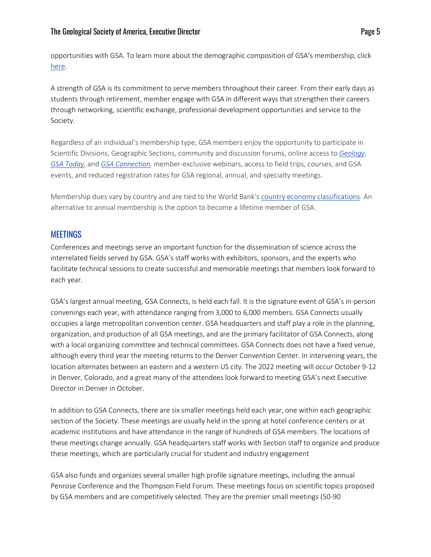opportunities with GSA. To learn more about the demographic composition of GSA's membership, click [here.](https://www.geosociety.org/documents/gsa/about/MbrDemographics.pdf)

A strength of GSA is its commitment to serve members throughout their career. From their early days as students through retirement, member engage with GSA in different ways that strengthen their careers through networking, scientific exchange, professional development opportunities and service to the Society.

Regardless of an individual's membership type, GSA members enjoy the opportunity to participate in Scientific Divisions, Geographic Sections, community and discussion forums, online access to *[Geology](https://www.geosociety.org/gsa/publications/journals/geology/gsa/pubs/geology/home.aspx)*, *[GSA Today,](https://www.geosociety.org/GSA/Publications/GSA_Today/GSA/GSAToday/home.aspx)* and *[GSA Connection,](https://www.geosociety.org/GSA/News/CXN/GSA/cxn/archive.aspx)* member-exclusive webinars, access to field trips, courses, and GSA events, and reduced registration rates for GSA regional, annual, and specialty meetings.

Membership dues vary by country and are tied to the World Bank's [country economy classifications.](https://www.geosociety.org/documents/gsa/membership/NonHighIncomeCountries.pdf) An alternative to annual membership is the option to become a lifetime member of GSA.

# **MEETINGS**

Conferences and meetings serve an important function for the dissemination of science across the interrelated fields served by GSA. GSA's staff works with exhibitors, sponsors, and the experts who facilitate technical sessions to create successful and memorable meetings that members look forward to each year.

GSA's largest annual meeting, GSA Connects, is held each fall. It is the signature event of GSA's in-person convenings each year, with attendance ranging from 3,000 to 6,000 members. GSA Connects usually occupies a large metropolitan convention center. GSA headquarters and staff play a role in the planning, organization, and production of all GSA meetings, and are the primary facilitator of GSA Connects, along with a local organizing committee and technical committees. GSA Connects does not have a fixed venue, although every third year the meeting returns to the Denver Convention Center. In intervening years, the location alternates between an eastern and a western US city. The 2022 meeting will occur October 9-12 in Denver, Colorado, and a great many of the attendees look forward to meeting GSA's next Executive Director in Denver in October.

In addition to GSA Connects, there are six smaller meetings held each year, one within each geographic section of the Society. These meetings are usually held in the spring at hotel conference centers or at academic institutions and have attendance in the range of hundreds of GSA members. The locations of these meetings change annually. GSA headquarters staff works with Section staff to organize and produce these meetings, which are particularly crucial for student and industry engagement

GSA also funds and organizes several smaller high profile signature meetings, including the annual Penrose Conference and the Thompson Field Forum. These meetings focus on scientific topics proposed by GSA members and are competitively selected. They are the premier small meetings (50-90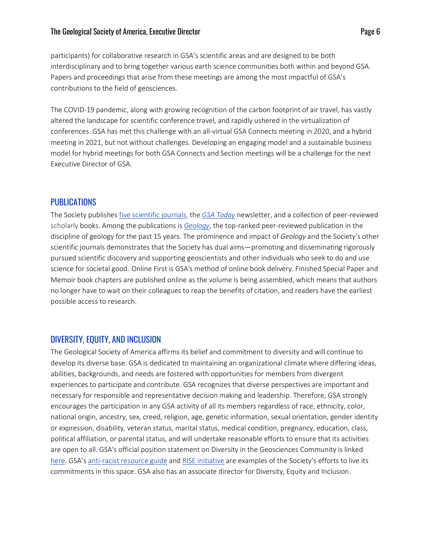#### The Geological Society of America, Executive Director **Page 6** and *Page 6* and *Page 6* and *Page 6* and *Page 6* and *Page 6* and *Page 6* and *Page 6* and *Page 6* and *Page 6* and *Page 6* and *Page 6* and *Page 6* and

participants) for collaborative research in GSA's scientific areas and are designed to be both interdisciplinary and to bring together various earth science communities both within and beyond GSA. Papers and proceedings that arise from these meetings are among the most impactful of GSA's contributions to the field of geosciences.

The COVID-19 pandemic, along with growing recognition of the carbon footprint of air travel, has vastly altered the landscape for scientific conference travel, and rapidly ushered in the virtualization of conferences. GSA has met this challenge with an all-virtual GSA Connects meeting in 2020, and a hybrid meeting in 2021, but not without challenges. Developing an engaging model and a sustainable business model for hybrid meetings for both GSA Connects and Section meetings will be a challenge for the next Executive Director of GSA.

# PUBLICATIONS

The Society publishes [five scientific journals,](https://www.geosociety.org/GSA/Publications/Journals/GSA/Pubs/journals.aspx?hkey=81962575-b67f-475d-9f6f-07e9a0bd12c4) the *[GSA Today](https://www.geosociety.org/GSA/Publications/GSA_Today/GSA/GSAToday/home.aspx?hkey=8de71aaf-59a9-43c9-a8ba-cd57f97c274f)* newsletter, and a collection of peer-reviewed scholarly books. Among the publications is *[Geology](https://pubs.geoscienceworld.org/geology)*, the top-ranked peer-reviewed publication in the discipline of geology for the past 15 years. The prominence and impact of *Geology* and the Society's other scientific journals demonstrates that the Society has dual aims—promoting and disseminating rigorously pursued scientific discovery and supporting geoscientists and other individuals who seek to do and use science for societal good. Online First is GSA's method of online book delivery. Finished Special Paper and Memoir book chapters are published online as the volume is being assembled, which means that authors no longer have to wait on their colleagues to reap the benefits of citation, and readers have the earliest possible access to research.

# DIVERSITY, EQUITY, AND INCLUSION

The Geological Society of America affirms its belief and commitment to diversity and will continue to develop its diverse base. GSA is dedicated to maintaining an organizational climate where differing ideas, abilities, backgrounds, and needs are fostered with opportunities for members from divergent experiences to participate and contribute. GSA recognizes that diverse perspectives are important and necessary for responsible and representative decision making and leadership. Therefore, GSA strongly encourages the participation in any GSA activity of all its members regardless of race, ethnicity, color, national origin, ancestry, sex, creed, religion, age, genetic information, sexual orientation, gender identity or expression, disability, veteran status, marital status, medical condition, pregnancy, education, class, political affiliation, or parental status, and will undertake reasonable efforts to ensure that its activities are open to all. GSA's official position statement on Diversity in the Geosciences Community is linked [here.](https://www.geosociety.org/GSA/Science_Policy/Position_Statements/gsa/positions/position15.aspx) GSA's [anti-racist resource guide](https://www.geosociety.org/GSA/About/Diversity/GSA/About/reading.aspx) and [RISE initiative](https://www.geosociety.org/documents/gsa/about/ethics/what-is-rise.pdf) are examples of the Society's efforts to live its commitments in this space. GSA also has an associate director for Diversity, Equity and Inclusion.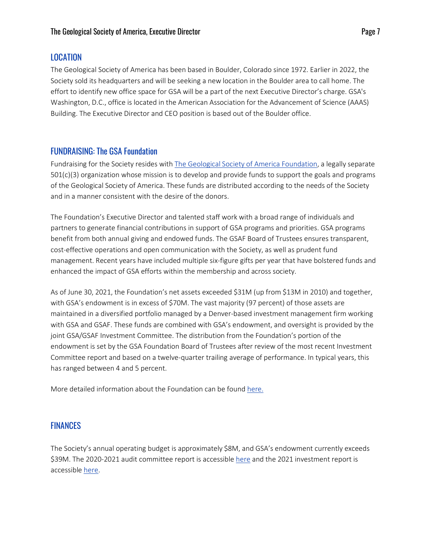# LOCATION

The Geological Society of America has been based in Boulder, Colorado since 1972. Earlier in 2022, the Society sold its headquarters and will be seeking a new location in the Boulder area to call home. The effort to identify new office space for GSA will be a part of the next Executive Director's charge. GSA's Washington, D.C., office is located in the American Association for the Advancement of Science (AAAS) Building. The Executive Director and CEO position is based out of the Boulder office.

# FUNDRAISING: The GSA Foundation

Fundraising for the Society resides with [The Geological Society of America Foundation,](https://gsa-foundation.org/) a legally separate 501(c)(3) organization whose mission is to develop and provide funds to support the goals and programs of the Geological Society of America. These funds are distributed according to the needs of the Society and in a manner consistent with the desire of the donors.

The Foundation's Executive Director and talented staff work with a broad range of individuals and partners to generate financial contributions in support of GSA programs and priorities. GSA programs benefit from both annual giving and endowed funds. The GSAF Board of Trustees ensures transparent, cost-effective operations and open communication with the Society, as well as prudent fund management. Recent years have included multiple six-figure gifts per year that have bolstered funds and enhanced the impact of GSA efforts within the membership and across society.

As of June 30, 2021, the Foundation's net assets exceeded \$31M (up from \$13M in 2010) and together, with GSA's endowment is in excess of \$70M. The vast majority (97 percent) of those assets are maintained in a diversified portfolio managed by a Denver-based investment management firm working with GSA and GSAF. These funds are combined with GSA's endowment, and oversight is provided by the joint GSA/GSAF Investment Committee. The distribution from the Foundation's portion of the endowment is set by the GSA Foundation Board of Trustees after review of the most recent Investment Committee report and based on a twelve-quarter trailing average of performance. In typical years, this has ranged between 4 and 5 percent.

More detailed information about the Foundation can be found [here.](https://gsa-foundation.org/about-the-foundation/)

# FINANCES

The Society's annual operating budget is approximately \$8M, and GSA's endowment currently exceeds \$39M. The 2020-2021 audit committee report is accessible [here](https://www.geosociety.org/documents/gsa/about/fiscal/fy21/audit-report-fy21.pdf) and the 2021 investment report is accessible [here.](https://www.geosociety.org/documents/GSA/about/fiscal/fy21/investments-report-fy21.pdf)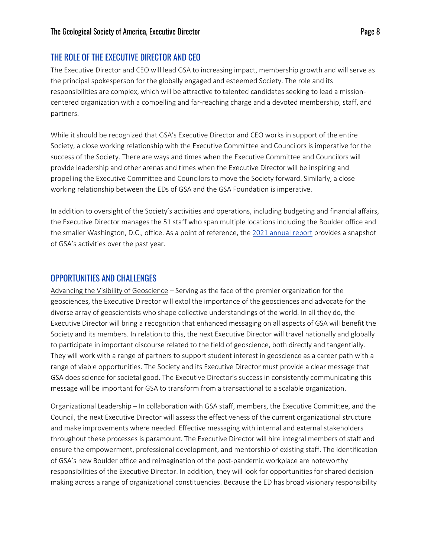# THE ROLE OF THE EXECUTIVE DIRECTOR AND CEO

The Executive Director and CEO will lead GSA to increasing impact, membership growth and will serve as the principal spokesperson for the globally engaged and esteemed Society. The role and its responsibilities are complex, which will be attractive to talented candidates seeking to lead a missioncentered organization with a compelling and far-reaching charge and a devoted membership, staff, and partners.

While it should be recognized that GSA's Executive Director and CEO works in support of the entire Society, a close working relationship with the Executive Committee and Councilors is imperative for the success of the Society. There are ways and times when the Executive Committee and Councilors will provide leadership and other arenas and times when the Executive Director will be inspiring and propelling the Executive Committee and Councilors to move the Society forward. Similarly, a close working relationship between the EDs of GSA and the GSA Foundation is imperative.

In addition to oversight of the Society's activities and operations, including budgeting and financial affairs, the Executive Director manages the 51 staff who span multiple locations including the Boulder office and the smaller Washington, D.C., office. As a point of reference, th[e 2021 annual report](https://www.geosociety.org/documents/gsa/about/fiscal/fy21/annual-report-fy21.pdf) provides a snapshot of GSA's activities over the past year.

#### OPPORTUNITIES AND CHALLENGES

Advancing the Visibility of Geoscience – Serving as the face of the premier organization for the geosciences, the Executive Director will extol the importance of the geosciences and advocate for the diverse array of geoscientists who shape collective understandings of the world. In all they do, the Executive Director will bring a recognition that enhanced messaging on all aspects of GSA will benefit the Society and its members. In relation to this, the next Executive Director will travel nationally and globally to participate in important discourse related to the field of geoscience, both directly and tangentially. They will work with a range of partners to support student interest in geoscience as a career path with a range of viable opportunities. The Society and its Executive Director must provide a clear message that GSA does science for societal good. The Executive Director's success in consistently communicating this message will be important for GSA to transform from a transactional to a scalable organization.

Organizational Leadership – In collaboration with GSA staff, members, the Executive Committee, and the Council, the next Executive Director will assess the effectiveness of the current organizational structure and make improvements where needed. Effective messaging with internal and external stakeholders throughout these processes is paramount. The Executive Director will hire integral members of staff and ensure the empowerment, professional development, and mentorship of existing staff. The identification of GSA's new Boulder office and reimagination of the post-pandemic workplace are noteworthy responsibilities of the Executive Director. In addition, they will look for opportunities for shared decision making across a range of organizational constituencies. Because the ED has broad visionary responsibility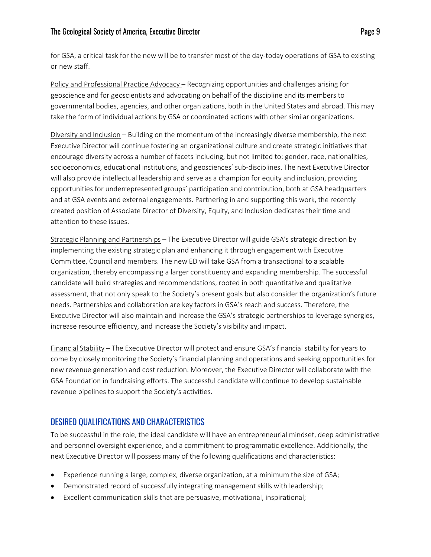#### The Geological Society of America, Executive Director **Page 9** and Page 9

for GSA, a critical task for the new will be to transfer most of the day-today operations of GSA to existing or new staff.

Policy and Professional Practice Advocacy – Recognizing opportunities and challenges arising for geoscience and for geoscientists and advocating on behalf of the discipline and its members to governmental bodies, agencies, and other organizations, both in the United States and abroad. This may take the form of individual actions by GSA or coordinated actions with other similar organizations.

Diversity and Inclusion – Building on the momentum of the increasingly diverse membership, the next Executive Director will continue fostering an organizational culture and create strategic initiatives that encourage diversity across a number of facets including, but not limited to: gender, race, nationalities, socioeconomics, educational institutions, and geosciences' sub-disciplines. The next Executive Director will also provide intellectual leadership and serve as a champion for equity and inclusion, providing opportunities for underrepresented groups' participation and contribution, both at GSA headquarters and at GSA events and external engagements. Partnering in and supporting this work, the recently created position of Associate Director of Diversity, Equity, and Inclusion dedicates their time and attention to these issues.

Strategic Planning and Partnerships – The Executive Director will guide GSA's strategic direction by implementing the existing strategic plan and enhancing it through engagement with Executive Committee, Council and members. The new ED will take GSA from a transactional to a scalable organization, thereby encompassing a larger constituency and expanding membership. The successful candidate will build strategies and recommendations, rooted in both quantitative and qualitative assessment, that not only speak to the Society's present goals but also consider the organization's future needs. Partnerships and collaboration are key factors in GSA's reach and success. Therefore, the Executive Director will also maintain and increase the GSA's strategic partnerships to leverage synergies, increase resource efficiency, and increase the Society's visibility and impact.

Financial Stability – The Executive Director will protect and ensure GSA's financial stability for years to come by closely monitoring the Society's financial planning and operations and seeking opportunities for new revenue generation and cost reduction. Moreover, the Executive Director will collaborate with the GSA Foundation in fundraising efforts. The successful candidate will continue to develop sustainable revenue pipelines to support the Society's activities.

# DESIRED QUALIFICATIONS AND CHARACTERISTICS

To be successful in the role, the ideal candidate will have an entrepreneurial mindset, deep administrative and personnel oversight experience, and a commitment to programmatic excellence. Additionally, the next Executive Director will possess many of the following qualifications and characteristics:

- Experience running a large, complex, diverse organization, at a minimum the size of GSA;
- Demonstrated record of successfully integrating management skills with leadership;
- Excellent communication skills that are persuasive, motivational, inspirational;